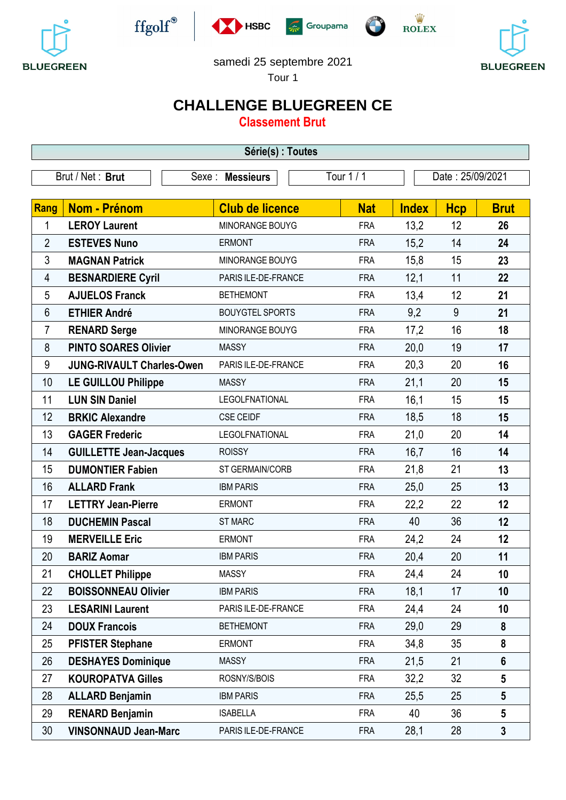











samedi 25 septembre 2021

Tour 1

# **CHALLENGE BLUEGREEN CE**

**Classement Brut**

| Série(s) : Toutes |                                  |                        |            |                  |            |                 |  |  |
|-------------------|----------------------------------|------------------------|------------|------------------|------------|-----------------|--|--|
|                   | Brut / Net: Brut                 | Sexe : Messieurs       | Tour 1 / 1 | Date: 25/09/2021 |            |                 |  |  |
|                   |                                  |                        |            |                  |            |                 |  |  |
| Rang              | <b>Nom - Prénom</b>              | <b>Club de licence</b> | <b>Nat</b> | <b>Index</b>     | <b>Hcp</b> | <b>Brut</b>     |  |  |
| 1                 | <b>LEROY Laurent</b>             | MINORANGE BOUYG        | <b>FRA</b> | 13,2             | 12         | 26              |  |  |
| $\overline{2}$    | <b>ESTEVES Nuno</b>              | <b>ERMONT</b>          | <b>FRA</b> | 15,2             | 14         | 24              |  |  |
| 3                 | <b>MAGNAN Patrick</b>            | MINORANGE BOUYG        | <b>FRA</b> | 15,8             | 15         | 23              |  |  |
| 4                 | <b>BESNARDIERE Cyril</b>         | PARIS ILE-DE-FRANCE    | <b>FRA</b> | 12,1             | 11         | 22              |  |  |
| 5                 | <b>AJUELOS Franck</b>            | <b>BETHEMONT</b>       | <b>FRA</b> | 13,4             | 12         | 21              |  |  |
| 6                 | <b>ETHIER André</b>              | <b>BOUYGTEL SPORTS</b> | <b>FRA</b> | 9,2              | 9          | 21              |  |  |
| 7                 | <b>RENARD Serge</b>              | MINORANGE BOUYG        | <b>FRA</b> | 17,2             | 16         | 18              |  |  |
| 8                 | <b>PINTO SOARES Olivier</b>      | <b>MASSY</b>           | <b>FRA</b> | 20,0             | 19         | 17              |  |  |
| $\boldsymbol{9}$  | <b>JUNG-RIVAULT Charles-Owen</b> | PARIS ILE-DE-FRANCE    | <b>FRA</b> | 20,3             | 20         | 16              |  |  |
| 10                | <b>LE GUILLOU Philippe</b>       | <b>MASSY</b>           | <b>FRA</b> | 21,1             | 20         | 15              |  |  |
| 11                | <b>LUN SIN Daniel</b>            | <b>LEGOLFNATIONAL</b>  | <b>FRA</b> | 16,1             | 15         | 15              |  |  |
| 12                | <b>BRKIC Alexandre</b>           | <b>CSE CEIDF</b>       | <b>FRA</b> | 18,5             | 18         | 15              |  |  |
| 13                | <b>GAGER Frederic</b>            | <b>LEGOLFNATIONAL</b>  | <b>FRA</b> | 21,0             | 20         | 14              |  |  |
| 14                | <b>GUILLETTE Jean-Jacques</b>    | <b>ROISSY</b>          | <b>FRA</b> | 16,7             | 16         | 14              |  |  |
| 15                | <b>DUMONTIER Fabien</b>          | ST GERMAIN/CORB        | <b>FRA</b> | 21,8             | 21         | 13              |  |  |
| 16                | <b>ALLARD Frank</b>              | <b>IBM PARIS</b>       | <b>FRA</b> | 25,0             | 25         | 13              |  |  |
| 17                | <b>LETTRY Jean-Pierre</b>        | <b>ERMONT</b>          | <b>FRA</b> | 22,2             | 22         | 12              |  |  |
| 18                | <b>DUCHEMIN Pascal</b>           | <b>ST MARC</b>         | <b>FRA</b> | 40               | 36         | 12              |  |  |
| 19                | <b>MERVEILLE Eric</b>            | <b>ERMONT</b>          | <b>FRA</b> | 24,2             | 24         | 12              |  |  |
| 20                | <b>BARIZ Aomar</b>               | <b>IBM PARIS</b>       | <b>FRA</b> | 20,4             | 20         | 11              |  |  |
| 21                | <b>CHOLLET Philippe</b>          | <b>MASSY</b>           | <b>FRA</b> | 24,4             | 24         | 10              |  |  |
| 22                | <b>BOISSONNEAU Olivier</b>       | <b>IBM PARIS</b>       | <b>FRA</b> | 18,1             | 17         | 10              |  |  |
| 23                | <b>LESARINI Laurent</b>          | PARIS ILE-DE-FRANCE    | <b>FRA</b> | 24,4             | 24         | 10              |  |  |
| 24                | <b>DOUX Francois</b>             | <b>BETHEMONT</b>       | <b>FRA</b> | 29,0             | 29         | 8               |  |  |
| 25                | <b>PFISTER Stephane</b>          | <b>ERMONT</b>          | <b>FRA</b> | 34,8             | 35         | 8               |  |  |
| 26                | <b>DESHAYES Dominique</b>        | <b>MASSY</b>           | <b>FRA</b> | 21,5             | 21         | $6\phantom{1}$  |  |  |
| 27                | <b>KOUROPATVA Gilles</b>         | ROSNY/S/BOIS           | <b>FRA</b> | 32,2             | 32         | $5\phantom{.0}$ |  |  |
| 28                | <b>ALLARD Benjamin</b>           | <b>IBM PARIS</b>       | <b>FRA</b> | 25,5             | 25         | $5\phantom{.0}$ |  |  |
| 29                | <b>RENARD Benjamin</b>           | <b>ISABELLA</b>        | <b>FRA</b> | 40               | 36         | $5\phantom{.0}$ |  |  |
| 30                | <b>VINSONNAUD Jean-Marc</b>      | PARIS ILE-DE-FRANCE    | <b>FRA</b> | 28,1             | 28         | $\mathbf{3}$    |  |  |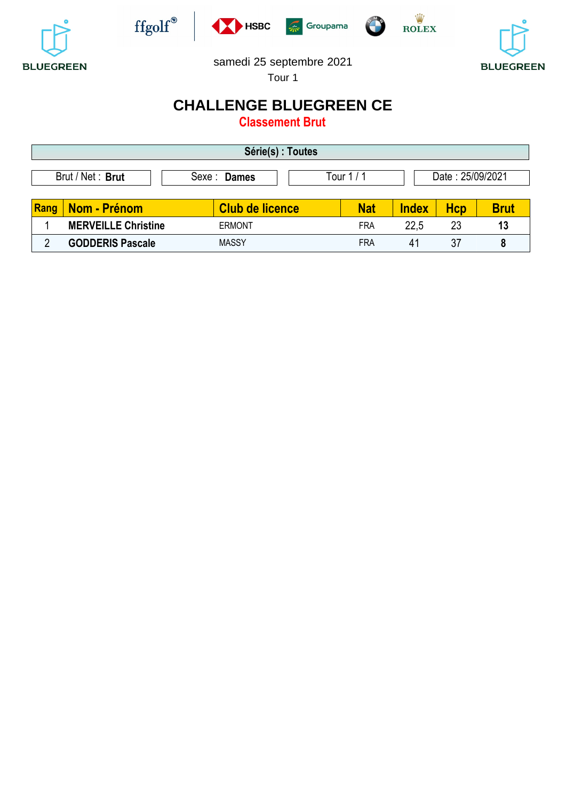











#### samedi 25 septembre 2021

Tour 1

## **CHALLENGE BLUEGREEN CE**

**Classement Brut**

| Série(s) : Toutes                                                         |                            |                        |  |            |              |     |             |  |
|---------------------------------------------------------------------------|----------------------------|------------------------|--|------------|--------------|-----|-------------|--|
| Brut / Net: Brut<br>Date: 25/09/2021<br>Tour $1/1$<br>Sexe : <b>Dames</b> |                            |                        |  |            |              |     |             |  |
| Rang                                                                      | Nom - Prénom               | <b>Club de licence</b> |  | <b>Nat</b> | <b>Index</b> | Hcp | <b>Brut</b> |  |
|                                                                           | <b>MERVEILLE Christine</b> | <b>ERMONT</b>          |  | <b>FRA</b> | 22,5         | 23  | 13          |  |
| ŋ                                                                         | <b>GODDERIS Pascale</b>    | <b>MASSY</b>           |  | <b>FRA</b> | 41           | 37  | 8           |  |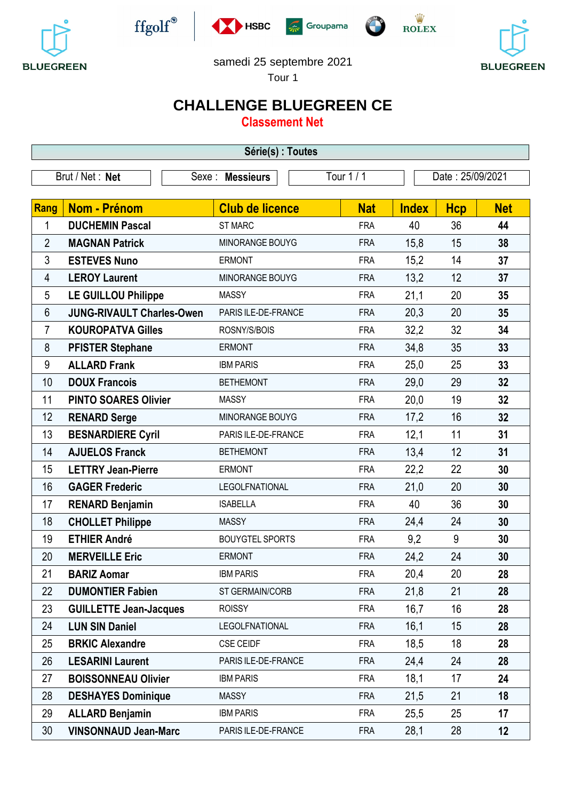











#### samedi 25 septembre 2021

Tour 1

## **CHALLENGE BLUEGREEN CE**

**Classement Net**

| Série(s) : Toutes |                                  |  |                        |            |              |                  |            |  |
|-------------------|----------------------------------|--|------------------------|------------|--------------|------------------|------------|--|
|                   | Brut / Net: Net<br>Sexe:         |  | <b>Messieurs</b>       | Tour 1 / 1 |              | Date: 25/09/2021 |            |  |
| Rang              | Nom - Prénom                     |  | <b>Club de licence</b> | <b>Nat</b> | <b>Index</b> | <b>Hcp</b>       | <b>Net</b> |  |
| 1                 | <b>DUCHEMIN Pascal</b>           |  | <b>ST MARC</b>         | <b>FRA</b> | 40           | 36               | 44         |  |
| $\overline{2}$    | <b>MAGNAN Patrick</b>            |  | MINORANGE BOUYG        | <b>FRA</b> | 15,8         | 15               | 38         |  |
| 3                 | <b>ESTEVES Nuno</b>              |  | <b>ERMONT</b>          | <b>FRA</b> | 15,2         | 14               | 37         |  |
| 4                 | <b>LEROY Laurent</b>             |  | MINORANGE BOUYG        | <b>FRA</b> | 13,2         | 12               | 37         |  |
| 5                 | <b>LE GUILLOU Philippe</b>       |  | <b>MASSY</b>           | <b>FRA</b> | 21,1         | 20               | 35         |  |
| 6                 | <b>JUNG-RIVAULT Charles-Owen</b> |  | PARIS ILE-DE-FRANCE    | <b>FRA</b> | 20,3         | 20               | 35         |  |
| 7                 | <b>KOUROPATVA Gilles</b>         |  | ROSNY/S/BOIS           | <b>FRA</b> | 32,2         | 32               | 34         |  |
| 8                 | <b>PFISTER Stephane</b>          |  | <b>ERMONT</b>          | <b>FRA</b> | 34,8         | 35               | 33         |  |
| $\boldsymbol{9}$  | <b>ALLARD Frank</b>              |  | <b>IBM PARIS</b>       | <b>FRA</b> | 25,0         | 25               | 33         |  |
| 10                | <b>DOUX Francois</b>             |  | <b>BETHEMONT</b>       | <b>FRA</b> | 29,0         | 29               | 32         |  |
| 11                | <b>PINTO SOARES Olivier</b>      |  | <b>MASSY</b>           | <b>FRA</b> | 20,0         | 19               | 32         |  |
| 12                | <b>RENARD Serge</b>              |  | MINORANGE BOUYG        | <b>FRA</b> | 17,2         | 16               | 32         |  |
| 13                | <b>BESNARDIERE Cyril</b>         |  | PARIS ILE-DE-FRANCE    | <b>FRA</b> | 12,1         | 11               | 31         |  |
| 14                | <b>AJUELOS Franck</b>            |  | <b>BETHEMONT</b>       | <b>FRA</b> | 13,4         | 12               | 31         |  |
| 15                | <b>LETTRY Jean-Pierre</b>        |  | <b>ERMONT</b>          | <b>FRA</b> | 22,2         | 22               | 30         |  |
| 16                | <b>GAGER Frederic</b>            |  | <b>LEGOLFNATIONAL</b>  | <b>FRA</b> | 21,0         | 20               | 30         |  |
| 17                | <b>RENARD Benjamin</b>           |  | <b>ISABELLA</b>        | <b>FRA</b> | 40           | 36               | 30         |  |
| 18                | <b>CHOLLET Philippe</b>          |  | <b>MASSY</b>           | <b>FRA</b> | 24,4         | 24               | 30         |  |
| 19                | <b>ETHIER André</b>              |  | <b>BOUYGTEL SPORTS</b> | <b>FRA</b> | 9,2          | 9                | 30         |  |
| 20                | <b>MERVEILLE Eric</b>            |  | <b>ERMONT</b>          | <b>FRA</b> | 24,2         | 24               | 30         |  |
| 21                | <b>BARIZ Aomar</b>               |  | <b>IBM PARIS</b>       | <b>FRA</b> | 20,4         | 20               | 28         |  |
| 22                | <b>DUMONTIER Fabien</b>          |  | ST GERMAIN/CORB        | <b>FRA</b> | 21,8         | 21               | 28         |  |
| 23                | <b>GUILLETTE Jean-Jacques</b>    |  | <b>ROISSY</b>          | <b>FRA</b> | 16,7         | 16               | 28         |  |
| 24                | <b>LUN SIN Daniel</b>            |  | <b>LEGOLFNATIONAL</b>  | <b>FRA</b> | 16,1         | 15               | 28         |  |
| 25                | <b>BRKIC Alexandre</b>           |  | <b>CSE CEIDF</b>       | <b>FRA</b> | 18,5         | 18               | 28         |  |
| 26                | <b>LESARINI Laurent</b>          |  | PARIS ILE-DE-FRANCE    | <b>FRA</b> | 24,4         | 24               | 28         |  |
| 27                | <b>BOISSONNEAU Olivier</b>       |  | <b>IBM PARIS</b>       | <b>FRA</b> | 18,1         | 17               | 24         |  |
| 28                | <b>DESHAYES Dominique</b>        |  | <b>MASSY</b>           | <b>FRA</b> | 21,5         | 21               | 18         |  |
| 29                | <b>ALLARD Benjamin</b>           |  | <b>IBM PARIS</b>       | <b>FRA</b> | 25,5         | 25               | 17         |  |
| 30                | <b>VINSONNAUD Jean-Marc</b>      |  | PARIS ILE-DE-FRANCE    | <b>FRA</b> | 28,1         | 28               | 12         |  |